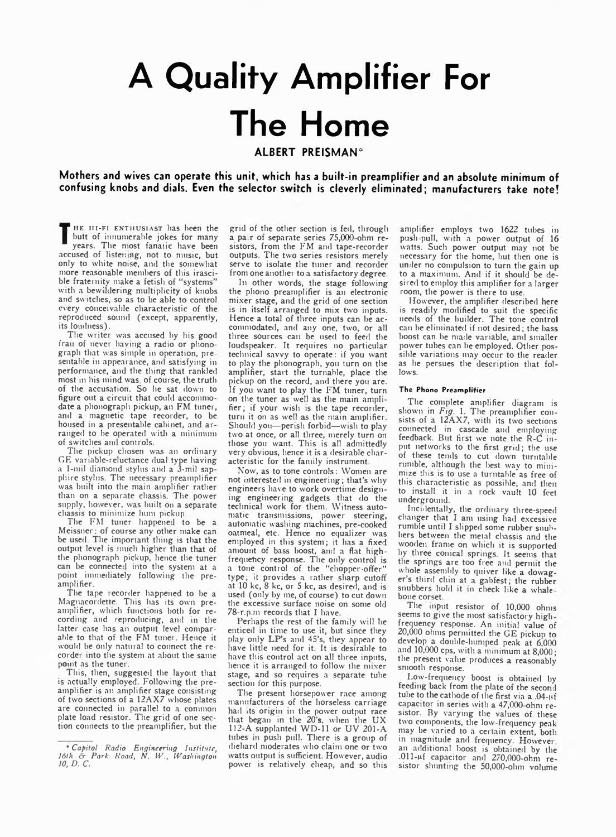## **A Quality Amplifier For The Home ALBERT PREISMAN\***

**Mothers and wives can operate this unit, which has a built-in preamplifier and an absolute minimum of** confusing knobs and dials. Even the selector switch is cleverly eliminated; manufacturers take note!

**The most fanatic have been** HE HI-FI ENTHUSIAST has been the butt of innumerable jokes for many accused of listening, not to music, but only to white noise, and the somewhat more reasonable members of this irascible fraternity make a fetish of "systems" with a bewildering multiplicity of knobs and sw itches, so as to be able to control every conceivable characteristic of the reproduced sound (except, apparently, its loudness).

The writer was accused by his good frail of never having a radio or phonograph that was simple in operation, presentable in appearance, and satisfying in performance, and the thing that rankled most in his mind was of course, the truth of the accusation. So he sat down to figure out a circuit that could accommodate a phonograph pickup, an FM tuner, and a magnetic tape recorder, to be housed in a presentable cabinet, and arranged to he operated with a minimum of switches and controls.

The pickup chosen was an ordinary GE variable-reluctance dual type having a 1-mil diamond stylus and a 3-mil sapphire stylus. The necessary preamplifier was built into the main amplifier rather than on a separate chassis. The power supply, however, was built on a separate chassis to minimize hum pickup

The FM tuner happened to be a Meissner; of course any other make can be used. The important thing is that the output level is much higher than that of the phonograph pickup, hence the tuner can be connected into the system at a point immediately following the preamplifier.

The tape recorder happened to be a Magnacordette. This has its own preamplifier, which functions both for recording and reproducing, and in the latter case has an output level comparable to that of the FM tuner. Hence it would be only natural to connect the recorder into the system at about the same point as the tuner.

This, then, suggested the layout that is actually employed. Following the preamplifier is an amplifier stage consisting of two sections of a 12AX7 whose plates are connected in parallel to a common plate load resistor. The grid of one section connects to the preamplifier, but the grid of the other section is fed, through a pair of separate series 75,000-ohm resistors, from the FM and tape-recorder outputs. The two series resistors merely serve to isolate the tuner and recorder from one another to a satisfactory degree.

In other words, the stage following the phono preamplifier is an electronic mixer stage, and the grid of one section is in itself arranged to mix two inputs. Hence a total of three inputs can be accommodated, and any one, two, or all three sources can be used to feed the loudspeaker. It requires no particular technical savvy to operate: if you want to play the phonograph, you turn on the amplifier, start the turnable, place the pickup on the record, and there you are. If you want to play the FM tuner, turn on the tuner as well as the main amplifier ; if your wish is the tape recorder, turn it on as well as the main amplifier. Should you— perish forbid— wish to play two at once, or all three, merely turn on those you want. This is all admittedly very obvious, hence it is a desirable characteristic for the family instrument.

Now, as to tone controls: Women are not interested in engineering; that's why engineers have to work overtime designing engineering gadgets that do the technical work for them. Witness automatic transmissions, power steering, automatic washing machines, pre-cooked oatmeal, etc. Hence no equalizer was employed in this system; it has a fixed amount of bass boost, and a flat highfrequehcy response. The only control is a tone control of the "chopper-offer" type; it provides a rather sharp cutoff at 10 kc, 8 kc, or 5 kc, as desired, and is used (only by me, of course) to cut down the excessive surface noise on some old 78-r.p.m records that I have.

Perhaps the rest of the family will be enticed in time to use it, but since they play only LP's and 45's, they appear to have little need for it. It is desirable to have this control act on all three inputs, hence it is arranged to follow the mixer stage, and so requires a separate tube section for this purpose.

The present horsepower race among manufacturers of the horseless carriage had its origin in the power output race that began in the 20's, when the UX 112-A supplanted WD-11 or UV 201-A tubes in push pull. There is a group of diehard moderates who claim one or two watts output is sufficient. However, audio power is relatively cheap, and so this

amplifier employs two 1622 tubes in push-pull, with a power output of 16 watts. Such power output may not be necessary for the home, but then one is under no compulsion to turn the gain up to a maximum. And if it should be desired to employ this amplifier for a larger room, the power is there to use.

However, the amplifier described here is readily modified to suit the specific needs of the builder. The tone control can be eliminated if not desired; the bass boost can be made variable, and smaller power tubes can be employed. Other possible variations may occur to the reader as he persues the description that follows.

## The Phone Preamplirier

The complete amplifier diagram is shown in *Fig.* 1. The preamplifier consists of a 12AX7, with its two sections connected in cascade and employing feedback. But first we note the R-C input networks to the first grid; the use of these tends to cut down turntable rumble, although the best way to minimize this is to use a turntable as free of this characteristic as possible, and then to install it in a rock vault 10 feet underground.

Incidentally, the ordinary three-speed changer that I am using had excessive rumble until I slipped some rubber snubbers between the metal chassis and the wooden frame on which it is supported by three conical springs. It seems that the springs are too free and permit the whole assembly to quiver like a dowager's third chin at gabfest; the rubber snubbers hold it in check like a whalebone corset

The input resistor of 10,000 ohms seems to give the most satisfactory highfrequency response. An initial value of 20,000 ohms permitted the GE pickup to develop a double-humped peak at 6,000 and 10,000 cps, with a minimum at 8,000; the present value produces a reasonably smooth response.

I.ow-frequency boost is obtained by feeding back from the plate of the second tube to the cathode of the first via a .04-pf capacitor in series with a 47,000 ohm resistor. By varying the values of these two components, the low-frequency peak may be varied to a certain extent, both in magnitude and frequency. However an additional boost is obtained by the .011-pf capacitor and 270,000-ohm resistor shunting the 50,000-ohm volume

<sup>\*</sup> *Capitol Radio Engineering Institute, 16th & Park Road, N. IV., IVaslunqton 10, D. C.*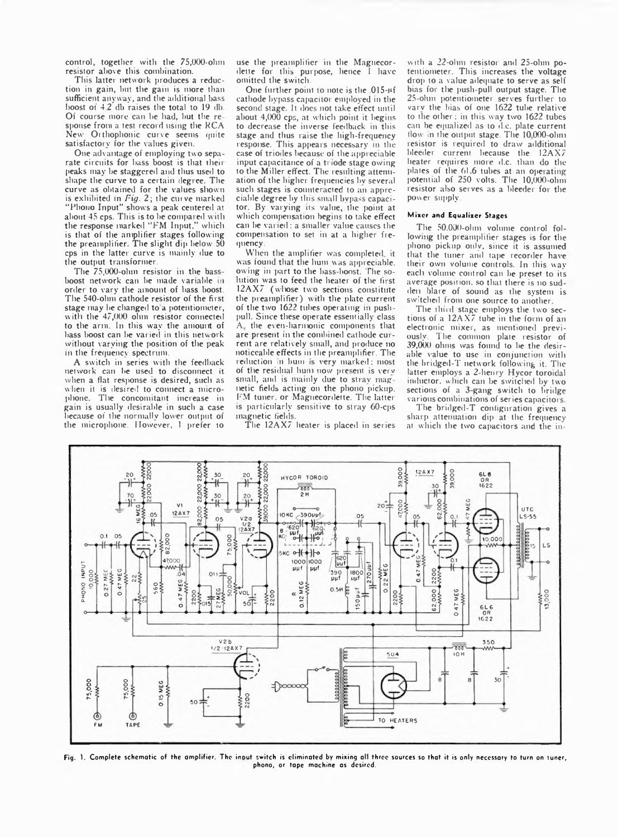control, together with the 75,000-ohm resistor above this combination.

This latter network produces a reduction in gain, but the gain is more than sufficient anvway, and the additional bass boost of 4 2 db raises the total to 19 db. Of course more can he had, but the re spouse from a test record using the RCA New Orthophonic curve seems quite satisfactory for the values given.

One advantage of employing two separate circuits for bass boost is that their peaks may be staggered and thus used to shape the curve to a certain degree. The curve as obtained for the values shown is exhibited in *Fig. 2;* the curve marked "Phono Input" shows a peak centered at about 45 cps. This is to be compared with the response marked "FM Input," which is that of the amplifier stages following the preamplifier. The slight dip below 50 cps in the latter curve is mainly due to the output transformer.

The 75,000-ohm resistor in the bassboost network can be made variable in order to vary the amount of hass boost. The 540-ohm cathode resistor of the first stage may he changed to a potentiometer, with the 47,000 ohm resistor connected to the arm. In this way the amount of bass boost can be varied in this network without varying the position of the peak in the frequency spectrum.

A switch in series with the feedback network can be used to disconnect it when a flat response is desired, such as when it is desired to connect a microphone. The concomitant increase in gain is usually desirable in such a case because of the normally lower output of the microphone. However, 1 prefer to

use the preamplifier in the Magnecordette for this purpose, hence I have omitted the switch.

One further point to note is the 015-pf cathode bypass capacitor employed in the second stage. It does not take effect until about 4,000 cps, at which point it begins to decrease the inverse feedback in this stage and thus raise the high-frequency response. This appears necessary in the case of triodes because of the appreciable input capacitance of a triode stage owing to the Miller effect. The resulting attenuation of the higher frequencies by several such stages is counteracted to an appreciable degree by tins small bypass capacitor. By varying its value, the point at which compensation begins to take effect can be varied: a smaller value causes the compensation to set in at a higher frequency.

When the amplifier was completed, it was found that the hum was appreciable, owing in part to the bass-boost. The solution was to feed the heater of the first 12AX7 (whose two sections constitute the preamplifier) with the plate current of the two 1622 tubes operating in pushpull. Since these operate essentially class A, the even-harmonic components that are present in the combined cathode current are relatively small, and produce no noticeable effects in the preamplifier. The reduction in bum is very marked; most of the residual hum now present is verv small, and is mainly due to stray magnetic fields acting on the phono pickup. I'M tuner, or Magnecordette. The latter is particularly sensitive to stray 60-cps magnetic fields.

The 12AX7 heater is placed in series

with a 22-ohm resistor and 25-ohm potentiometer. This increases the voltage drop to a value adequate to serve as self bias for the push-pull output stage. The 25-olun potentiometer serves further to varv the bias of one 1622 tube relative to the other ; in this way two 1622 tubes can be equalized as to d.c. plate current flow in the output stage. The 10,000-ohm resistor is required to draw additional bleeder current because the 12AX7 heater requires more d.c. than do the plates of the 6L6 tubes at an operating potential of 250 volts. The 10,000-ohm resistor also serves as a bleeder for the power supply

## Mixer and Equalizer Stages

The 50.000-ohm volume control following the preamplifier stages is for the phono pickup onlv, since it is assumed that the tuner and tape recorder have their own volume controls. In this way each volume control can be preset to its average position, so that there is no sud den blare of sound as the system is switched from one source to another.

The third stage employs the two sections of a 12AX7 tube in the form of an electronic mixer, as mentioned previously. Tlie common plate resistor of 39,000 ohms was found to be the desirable value to use in conjunction with the bridged-T network following it. The latter employs a 2-henry Hycor toroidal inductor, which can be switched by two sections of a 3-gang switch to bridge various combinations of series capacitors.

The bridged-T configuration gives a sharp attenuation dip at the frequency at which the two capacitors and the in-



Fig. 1. Complete schematic of the amplifier. The input switch is eliminated by mixing all three sources so that it is only necessary to turn on vuner, phono, or tape machine as desired.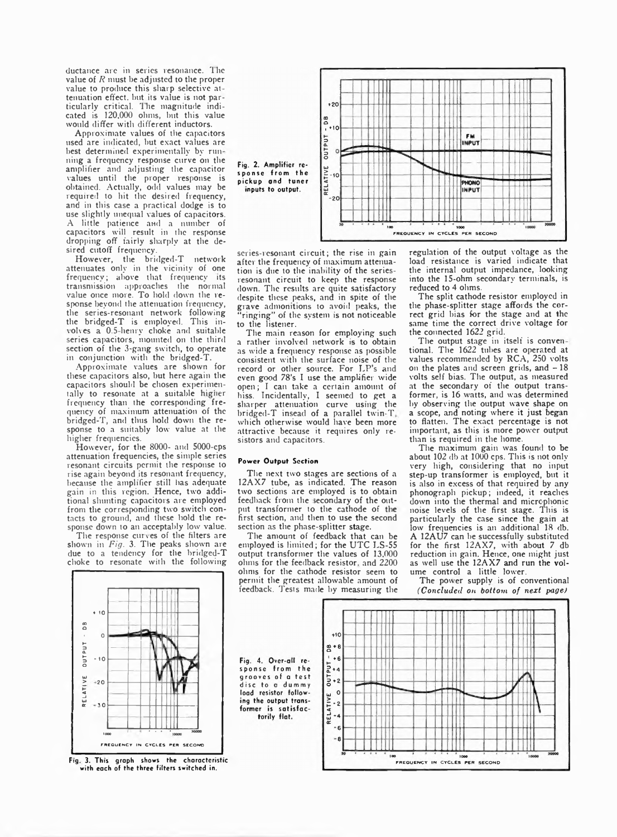ductance are in series resonance. The value of *R* must be adjusted to the proper value to produce this sharp selective at tenuation effect, but its value is not particularly critical. '1 he magnitude indicated is 120,000 ohms, but this value would differ with different inductors.

Approximate values of the capacitors used are indicated, but exact values are best determined experimentally by run ning a frequency response curve on the amplifier and adjusting the capacitor values until the proper response is obtained. Actually, odd values may be required to hit the desired frequency, and in this case a practical dodge is to use slightly unequal values of capacitors. A little patience and a number of capacitors will result in the response dropping off fairly sharply at the desired cutoff frequency.

However, the bridged-T network attenuates only in the vicinity of one frequency; above that frequency its transmission approaches the normal value once more. To hold down the response beyond the attenuation frequency, the series-resonant network following the bridged-T is employed. This involves a 0.5 henry choke and suitable series capacitors, mounted on the third section of the 3-gang switch, to operate in conjunction with the bridged-T.

Approximate values are shown for these capacitors also, but here again the capacitors should be chosen experimentally to resonate at a suitable higher frequency than the corresponding frequency of maximum attenuation of the bridged-T, and thus hold down the response to a suitably low value at the higher frequencies.

However, for the 8000- and 5000-cps attenuation frequencies, the simple series resonant circuits permit the response to rise again beyond its resonant frequency, because the amplifier still has adequate gain in this region. Hence, two additional shunting capacitors are employed from the corresponding two switch contacts to ground, and these bold the response down to an acceptably low value.

The response curves of the filters are shown in *Fig.* 3. The peaks shown are due to a tendency for the bridged-T choke to resonate with the following



series-resonant circuit; the rise in gain after the frequency of maximum attenuation is due to the inability of the seriesresonant circuit to keep the response down. The results are quite satisfactory despite these peaks, and in spite of the grave admonitions to avoid peaks, the " ringing" of the system is not noticeable to the listener.

The main reason for employing such a rather involved network is to obtain as wide a frequency response as possible consistent with the surface noise of the record or other source. For LP's and even good 78's I use the amplifier wide open; I can take a certain amount of hiss. Incidentally, I seemed to get a sharper attenuation curve using the bridged-T insead of a parallel twin-T. which otherwise would have been more attractive because it requires only resistors and capacitors.

## Power Output Section

The next two stages are sections of a 12AX7 tube, as indicated. The reason two sections are employed is to obtain feedback from the secondary of the output transformer to the cathode of the first section, and then to use the second section as the phase-splitter stage.

The amount of feedback that can be employed is limited; for the UTC LS-55 output transformer the values of 13,000 ohms for the feedback resistor, and 2200 ohms for the cathode resistor seem to permit the greatest allowable amount of feedback. Tests made by measuring the

regulation of the output voltage as the load resistance is varied indicate that the internal output impedance, looking into the 15-ohm secondary terminals, is reduced to 4 ohms.

The split cathode resistor employed in the phase-splitter stage affords the correct grid bias for the stage and at the same time the correct drive voltage for the connected 1622 grid.

The output stage in itself is conventional. The 1622 tubes are operated at values recommended by RCA, 250 volts on the plates and screen grids, and  $-18$ volts self bias. The output, as measured at the secondary of the output transformer, is 16 watts, and was determined by observing the output wave shape on a scope, and noting where it just began to flatten. The exact percentage is not important, as this is more power output than is required in the home.

The maximum gain was found to be about 102 db at 1000 cps. This is not only very high, considering that no input step-up transformer is employed, but it is also in excess of that required by any phonograph pickup; indeed, it reaches down into the thermal and micrcphonic noise levels of the first stage. This is particularly the case since the gain at low frequencies is an additional 18 db. A 12AU7 can be successfully substituted for the first 12AX7, with about 7 db reduction in gain. Hence, one might just as well use the 12AX7 and run the volume control a littie lower.

The power supplv is of conventional *(Concluded on bottom of next page)*



Fig 3. This graph shows the characteristic with each of the three filters switched in.

Fig. 4. Over-all response from the grooves of a test disc to a dummy load resistor following the output transformer is satisfactorily flat.